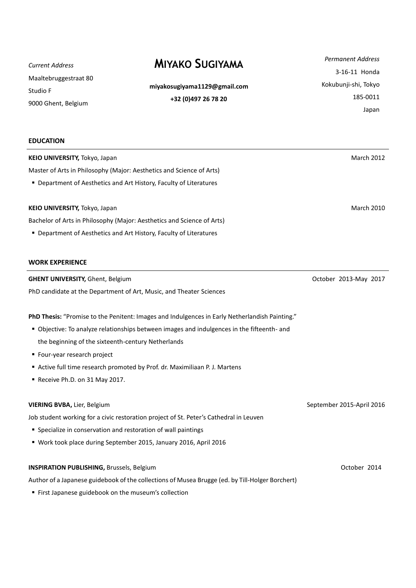*Current Address* Maaltebruggestraat 80 Studio F 9000 Ghent, Belgium

# **MIYAKO SUGIYAMA** *Permanent Address*

**miyakosugiyama1129@gmail.com +32 (0)497 26 78 20**

3-16-11 Honda Kokubunji-shi, Tokyo 185-0011 Japan

| <b>EDUCATION</b>                                                                                |                           |
|-------------------------------------------------------------------------------------------------|---------------------------|
| KEIO UNIVERSITY, Tokyo, Japan                                                                   | <b>March 2012</b>         |
| Master of Arts in Philosophy (Major: Aesthetics and Science of Arts)                            |                           |
| • Department of Aesthetics and Art History, Faculty of Literatures                              |                           |
| KEIO UNIVERSITY, Tokyo, Japan                                                                   | <b>March 2010</b>         |
| Bachelor of Arts in Philosophy (Major: Aesthetics and Science of Arts)                          |                           |
| • Department of Aesthetics and Art History, Faculty of Literatures                              |                           |
| <b>WORK EXPERIENCE</b>                                                                          |                           |
| <b>GHENT UNIVERSITY, Ghent, Belgium</b>                                                         | October 2013-May 2017     |
| PhD candidate at the Department of Art, Music, and Theater Sciences                             |                           |
| PhD Thesis: "Promise to the Penitent: Images and Indulgences in Early Netherlandish Painting."  |                           |
| • Objective: To analyze relationships between images and indulgences in the fifteenth- and      |                           |
| the beginning of the sixteenth-century Netherlands                                              |                           |
| ■ Four-year research project                                                                    |                           |
| Active full time research promoted by Prof. dr. Maximiliaan P. J. Martens                       |                           |
| Receive Ph.D. on 31 May 2017.                                                                   |                           |
| VIERING BVBA, Lier, Belgium                                                                     | September 2015-April 2016 |
| Job student working for a civic restoration project of St. Peter's Cathedral in Leuven          |                           |
| • Specialize in conservation and restoration of wall paintings                                  |                           |
| ■ Work took place during September 2015, January 2016, April 2016                               |                           |
| <b>INSPIRATION PUBLISHING, Brussels, Belgium</b>                                                | October 2014              |
| Author of a Japanese guidebook of the collections of Musea Brugge (ed. by Till-Holger Borchert) |                           |

First Japanese guidebook on the museum's collection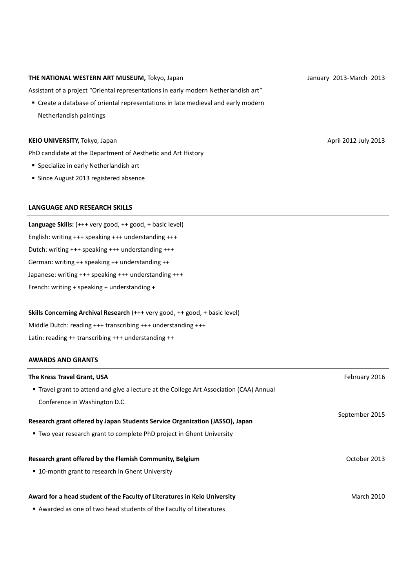#### **THE NATIONAL WESTERN ART MUSEUM,** Tokyo, Japan

Assistant of a project "Oriental representations in early modern Netherlandish art"

 Create a database of oriental representations in late medieval and early modern Netherlandish paintings

## **KEIO UNIVERSITY,** Tokyo, Japan

PhD candidate at the Department of Aesthetic and Art History

- **Specialize in early Netherlandish art**
- Since August 2013 registered absence

## **LANGUAGE AND RESEARCH SKILLS**

**Language Skills:** (+++ very good, ++ good, + basic level) English: writing +++ speaking +++ understanding +++ Dutch: writing +++ speaking +++ understanding +++ German: writing ++ speaking ++ understanding ++ Japanese: writing +++ speaking +++ understanding +++ French: writing + speaking + understanding +

#### **Skills Concerning Archival Research** (+++ very good, ++ good, + basic level)

Middle Dutch: reading +++ transcribing +++ understanding +++ Latin: reading ++ transcribing +++ understanding ++

## **AWARDS AND GRANTS**

| The Kress Travel Grant, USA                                                                                                                           | February 2016     |
|-------------------------------------------------------------------------------------------------------------------------------------------------------|-------------------|
| <b>Travel grant to attend and give a lecture at the College Art Association (CAA) Annual</b>                                                          |                   |
| Conference in Washington D.C.                                                                                                                         |                   |
| Research grant offered by Japan Students Service Organization (JASSO), Japan<br>• Two year research grant to complete PhD project in Ghent University | September 2015    |
| Research grant offered by the Flemish Community, Belgium<br>■ 10-month grant to research in Ghent University                                          | October 2013      |
| Award for a head student of the Faculty of Literatures in Keio University<br>Awarded as one of two head students of the Faculty of Literatures        | <b>March 2010</b> |

January 2013-March 2013

April 2012-July 2013